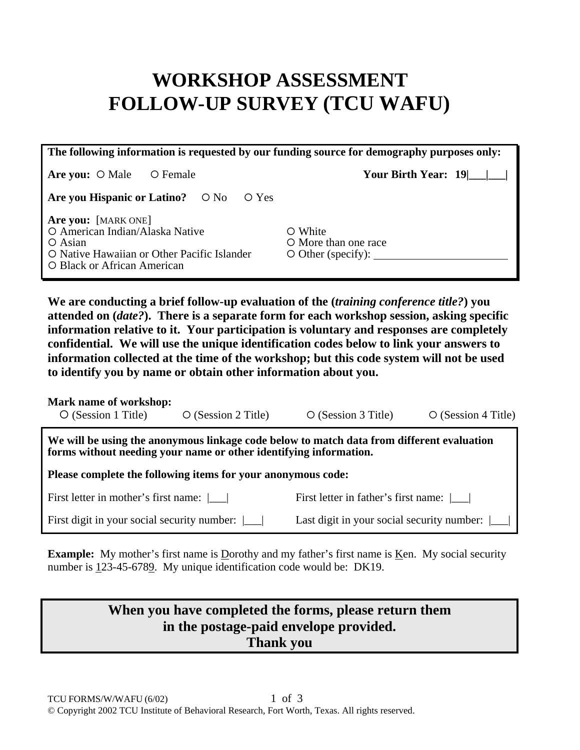# **WORKSHOP ASSESSMENT FOLLOW-UP SURVEY (TCU WAFU)**

| The following information is requested by our funding source for demography purposes only:                                                            |                                                             |  |  |  |  |  |
|-------------------------------------------------------------------------------------------------------------------------------------------------------|-------------------------------------------------------------|--|--|--|--|--|
| Are you: $\circ$ Male<br>O Female                                                                                                                     | Your Birth Year: $19$                                       |  |  |  |  |  |
| Are you Hispanic or Latino? $\circ$ No $\circ$ Yes                                                                                                    |                                                             |  |  |  |  |  |
| Are you: [MARK ONE]<br>O American Indian/Alaska Native<br>$\circ$ Asian<br>O Native Hawaiian or Other Pacific Islander<br>O Black or African American | O White<br>O More than one race<br>$\circ$ Other (specify): |  |  |  |  |  |

**We are conducting a brief follow-up evaluation of the (***training conference title?***) you attended on (***date?***). There is a separate form for each workshop session, asking specific information relative to it. Your participation is voluntary and responses are completely confidential. We will use the unique identification codes below to link your answers to information collected at the time of the workshop; but this code system will not be used to identify you by name or obtain other information about you.** 

#### **Mark name of workshop:**

| $\circ$ (Session 4 Title)<br>$\circ$ (Session 1 Title)<br>$\circ$ (Session 3 Title)<br>$\circ$ (Session 2 Title) |  |
|------------------------------------------------------------------------------------------------------------------|--|
|------------------------------------------------------------------------------------------------------------------|--|

**We will be using the anonymous linkage code below to match data from different evaluation forms without needing your name or other identifying information.** 

**Please complete the following items for your anonymous code:** 

First letter in mother's first name: |\_\_\_| First letter in father's first name: |\_\_\_|

First digit in your social security number:  $\lfloor \underline{\hspace{1cm}} \rfloor$  Last digit in your social security number:  $\lfloor \underline{\hspace{1cm}} \rfloor$ 

**Example:** My mother's first name is Dorothy and my father's first name is Ken. My social security number is 123-45-6789. My unique identification code would be: DK19.

### **When you have completed the forms, please return them in the postage-paid envelope provided. Thank you**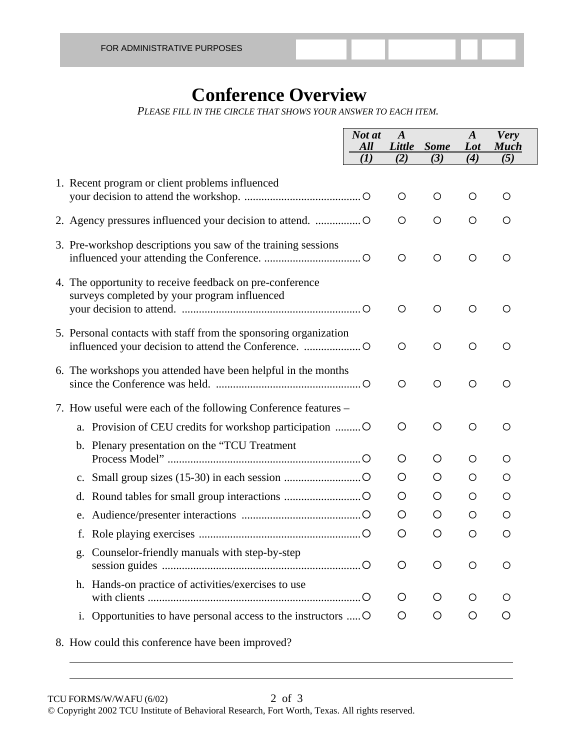### **Conference Overview**

*PLEASE FILL IN THE CIRCLE THAT SHOWS YOUR ANSWER TO EACH ITEM.* 

|                                                                                                          | Not at<br>All | $\boldsymbol{A}$ | Little Some | $\boldsymbol{A}$<br>Lot | <b>Very</b><br><b>Much</b> |
|----------------------------------------------------------------------------------------------------------|---------------|------------------|-------------|-------------------------|----------------------------|
|                                                                                                          | (I)           | (2)              | (3)         | (4)                     | (5)                        |
| 1. Recent program or client problems influenced                                                          |               | $\circ$          | O           | O                       | O                          |
|                                                                                                          |               | O                | O           | O                       | O                          |
| 3. Pre-workshop descriptions you saw of the training sessions                                            |               | $\circ$          | O           | O                       | O                          |
| 4. The opportunity to receive feedback on pre-conference<br>surveys completed by your program influenced |               | $\circ$          | O           | $\circ$                 | O                          |
| 5. Personal contacts with staff from the sponsoring organization                                         |               | $\circ$          | O           | O                       | $\circ$                    |
| 6. The workshops you attended have been helpful in the months                                            |               | O                | O           | O                       | O                          |
| 7. How useful were each of the following Conference features –                                           |               |                  |             |                         |                            |
| a. Provision of CEU credits for workshop participation  O                                                |               | O                | O           | $\circ$                 | $\circ$                    |
| b. Plenary presentation on the "TCU Treatment"                                                           |               | O                | O           | O                       | $\circ$                    |
| $\mathbf{c}$ .                                                                                           |               | O                | O           | O                       | O                          |
| d.                                                                                                       |               | O                | O           | O                       | $\circ$                    |
|                                                                                                          |               | O                | O           | O                       | O                          |
| f.                                                                                                       |               | O                | O           | $\circ$                 | O                          |
| g. Counselor-friendly manuals with step-by-step                                                          |               | O                | O           | O                       | O                          |
| h. Hands-on practice of activities/exercises to use                                                      |               | O                | O           | O                       | $\circ$                    |
| i. Opportunities to have personal access to the instructors  O                                           |               | O                | $\circ$     | O                       | O                          |
| 8. How could this conference have been improved?                                                         |               |                  |             |                         |                            |